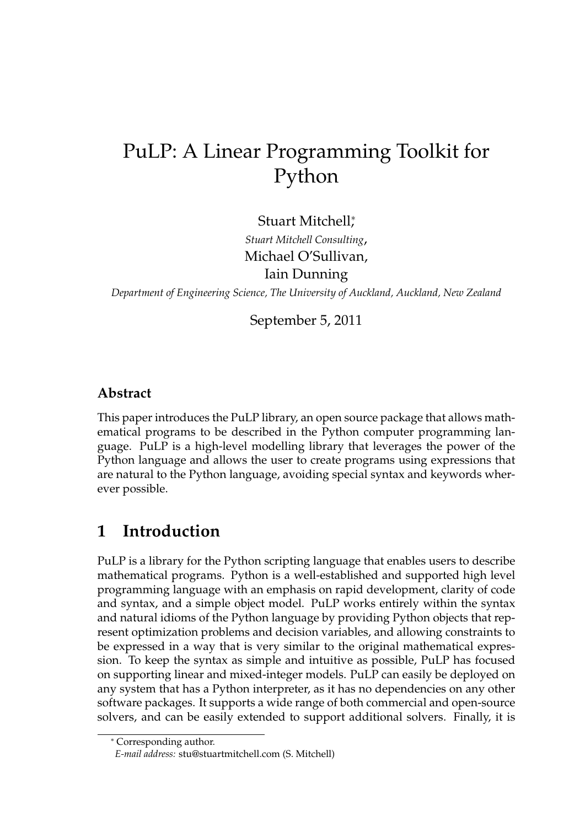# PuLP: A Linear Programming Toolkit for Python

Stuart Mitchell<sup>∗</sup> ,

*Stuart Mitchell Consulting*, Michael O'Sullivan, Iain Dunning

*Department of Engineering Science, The University of Auckland, Auckland, New Zealand*

September 5, 2011

#### **Abstract**

This paper introduces the PuLP library, an open source package that allows mathematical programs to be described in the Python computer programming language. PuLP is a high-level modelling library that leverages the power of the Python language and allows the user to create programs using expressions that are natural to the Python language, avoiding special syntax and keywords wherever possible.

## **1 Introduction**

PuLP is a library for the Python scripting language that enables users to describe mathematical programs. Python is a well-established and supported high level programming language with an emphasis on rapid development, clarity of code and syntax, and a simple object model. PuLP works entirely within the syntax and natural idioms of the Python language by providing Python objects that represent optimization problems and decision variables, and allowing constraints to be expressed in a way that is very similar to the original mathematical expression. To keep the syntax as simple and intuitive as possible, PuLP has focused on supporting linear and mixed-integer models. PuLP can easily be deployed on any system that has a Python interpreter, as it has no dependencies on any other software packages. It supports a wide range of both commercial and open-source solvers, and can be easily extended to support additional solvers. Finally, it is

<sup>∗</sup> Corresponding author.

*E-mail address:* stu@stuartmitchell.com (S. Mitchell)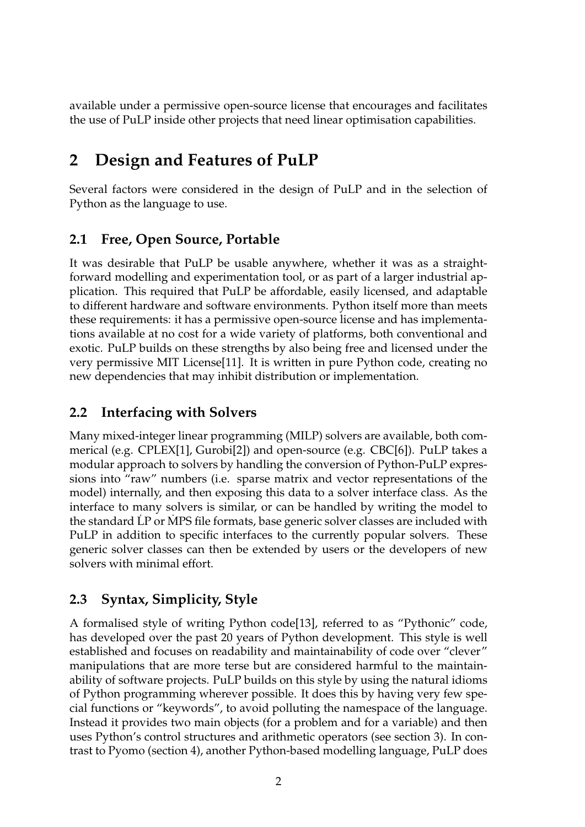available under a permissive open-source license that encourages and facilitates the use of PuLP inside other projects that need linear optimisation capabilities.

## **2 Design and Features of PuLP**

Several factors were considered in the design of PuLP and in the selection of Python as the language to use.

### **2.1 Free, Open Source, Portable**

It was desirable that PuLP be usable anywhere, whether it was as a straightforward modelling and experimentation tool, or as part of a larger industrial application. This required that PuLP be affordable, easily licensed, and adaptable to different hardware and software environments. Python itself more than meets these requirements: it has a permissive open-source license and has implementations available at no cost for a wide variety of platforms, both conventional and exotic. PuLP builds on these strengths by also being free and licensed under the very permissive MIT License[11]. It is written in pure Python code, creating no new dependencies that may inhibit distribution or implementation.

### **2.2 Interfacing with Solvers**

Many mixed-integer linear programming (MILP) solvers are available, both commerical (e.g. CPLEX[1], Gurobi[2]) and open-source (e.g. CBC[6]). PuLP takes a modular approach to solvers by handling the conversion of Python-PuLP expressions into "raw" numbers (i.e. sparse matrix and vector representations of the model) internally, and then exposing this data to a solver interface class. As the interface to many solvers is similar, or can be handled by writing the model to the standard LP or MPS file formats, base generic solver classes are included with PuLP in addition to specific interfaces to the currently popular solvers. These generic solver classes can then be extended by users or the developers of new solvers with minimal effort.

### **2.3 Syntax, Simplicity, Style**

A formalised style of writing Python code[13], referred to as "Pythonic" code, has developed over the past 20 years of Python development. This style is well established and focuses on readability and maintainability of code over "clever" manipulations that are more terse but are considered harmful to the maintainability of software projects. PuLP builds on this style by using the natural idioms of Python programming wherever possible. It does this by having very few special functions or "keywords", to avoid polluting the namespace of the language. Instead it provides two main objects (for a problem and for a variable) and then uses Python's control structures and arithmetic operators (see section 3). In contrast to Pyomo (section 4), another Python-based modelling language, PuLP does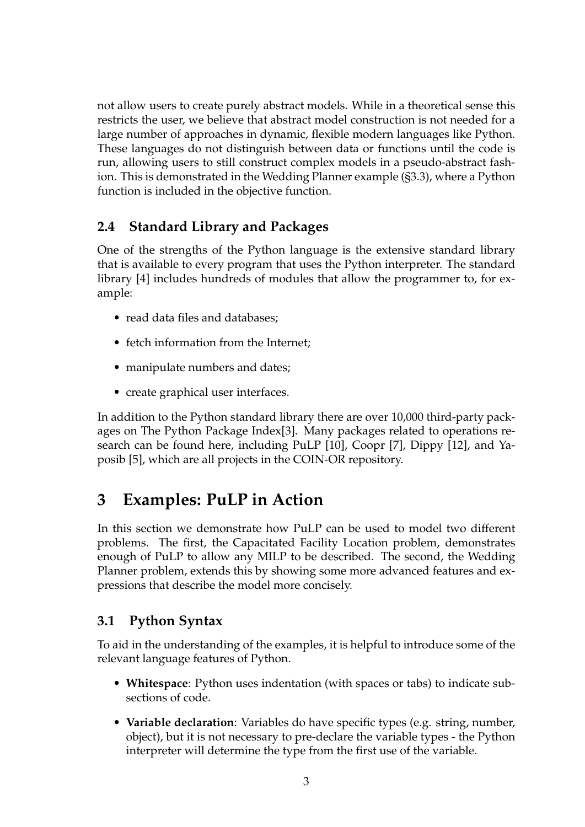not allow users to create purely abstract models. While in a theoretical sense this restricts the user, we believe that abstract model construction is not needed for a large number of approaches in dynamic, flexible modern languages like Python. These languages do not distinguish between data or functions until the code is run, allowing users to still construct complex models in a pseudo-abstract fashion. This is demonstrated in the Wedding Planner example (§3.3), where a Python function is included in the objective function.

#### **2.4 Standard Library and Packages**

One of the strengths of the Python language is the extensive standard library that is available to every program that uses the Python interpreter. The standard library [4] includes hundreds of modules that allow the programmer to, for example:

- read data files and databases;
- fetch information from the Internet;
- manipulate numbers and dates;
- create graphical user interfaces.

In addition to the Python standard library there are over 10,000 third-party packages on The Python Package Index[3]. Many packages related to operations research can be found here, including PuLP [10], Coopr [7], Dippy [12], and Yaposib [5], which are all projects in the COIN-OR repository.

## **3 Examples: PuLP in Action**

In this section we demonstrate how PuLP can be used to model two different problems. The first, the Capacitated Facility Location problem, demonstrates enough of PuLP to allow any MILP to be described. The second, the Wedding Planner problem, extends this by showing some more advanced features and expressions that describe the model more concisely.

#### **3.1 Python Syntax**

To aid in the understanding of the examples, it is helpful to introduce some of the relevant language features of Python.

- **Whitespace**: Python uses indentation (with spaces or tabs) to indicate subsections of code.
- **Variable declaration**: Variables do have specific types (e.g. string, number, object), but it is not necessary to pre-declare the variable types - the Python interpreter will determine the type from the first use of the variable.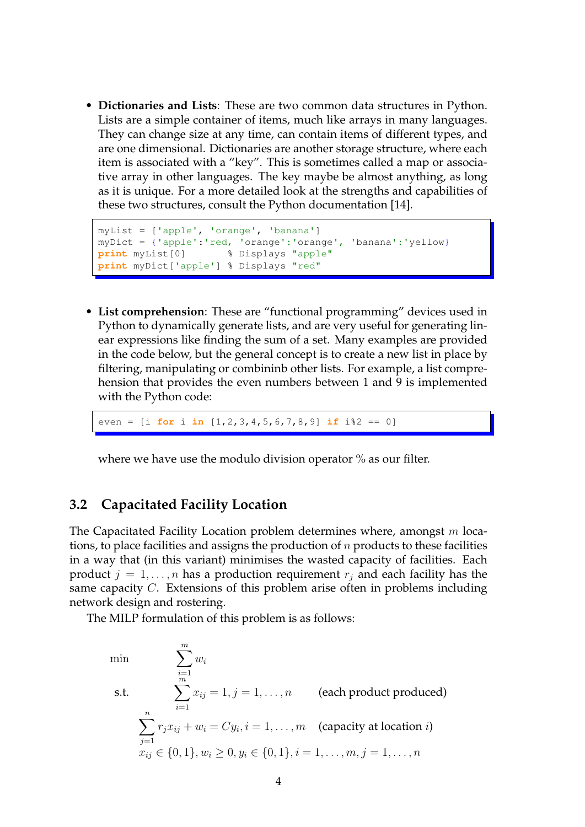• **Dictionaries and Lists**: These are two common data structures in Python. Lists are a simple container of items, much like arrays in many languages. They can change size at any time, can contain items of different types, and are one dimensional. Dictionaries are another storage structure, where each item is associated with a "key". This is sometimes called a map or associative array in other languages. The key maybe be almost anything, as long as it is unique. For a more detailed look at the strengths and capabilities of these two structures, consult the Python documentation [14].

```
myList = ['apple', 'orange', 'banana']
myDict = {'apple':'red, 'orange':'orange', 'banana':'yellow}
print myList[0] % Displays "apple"
print myDict['apple'] % Displays "red"
```
• **List comprehension**: These are "functional programming" devices used in Python to dynamically generate lists, and are very useful for generating linear expressions like finding the sum of a set. Many examples are provided in the code below, but the general concept is to create a new list in place by filtering, manipulating or combininb other lists. For example, a list comprehension that provides the even numbers between 1 and 9 is implemented with the Python code:

even = [i **for** i **in** [1,2,3,4,5,6,7,8,9] **if** i%2 == 0]

where we have use the modulo division operator % as our filter.

#### **3.2 Capacitated Facility Location**

The Capacitated Facility Location problem determines where, amongst  $m$  locations, to place facilities and assigns the production of  $n$  products to these facilities in a way that (in this variant) minimises the wasted capacity of facilities. Each product  $j = 1, \ldots, n$  has a production requirement  $r_j$  and each facility has the same capacity C. Extensions of this problem arise often in problems including network design and rostering.

The MILP formulation of this problem is as follows:

min  $\sum_{m=1}^{m}$  $i=1$  $w_i$ s.t.  $\sum_{m=1}^{m}$  $i=1$  $x_{ij} = 1, j = 1, \ldots, n$  (each product produced)  $\sum_{n=1}^{\infty}$  $j=1$  $r_j x_{ij} + w_i = C y_i, i = 1, \dots, m$  (capacity at location *i*)  $x_{ij} \in \{0, 1\}, w_i \geq 0, y_i \in \{0, 1\}, i = 1, \ldots, m, j = 1, \ldots, n$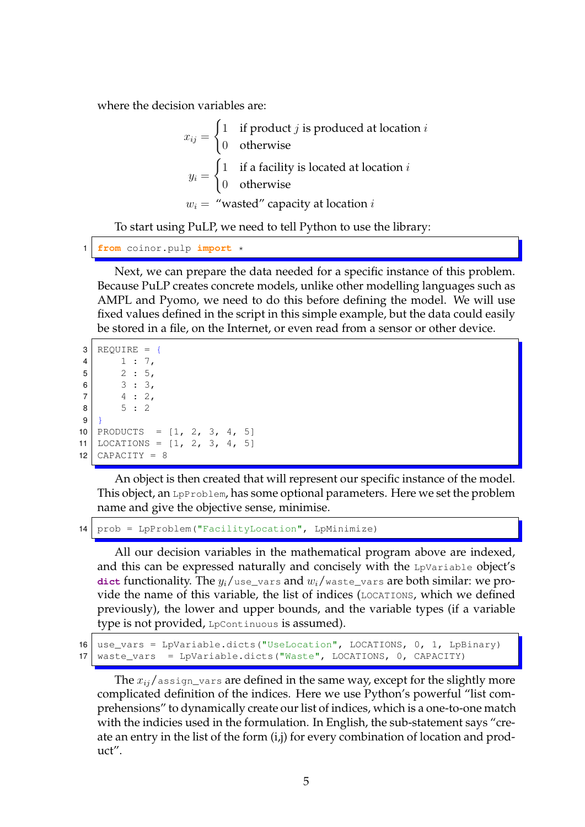where the decision variables are:

 $x_{ij} =$  $\int 1$  if product *j* is produced at location *i* 0 otherwise  $y_i =$  $\int$  1 if a facility is located at location *i* 0 otherwise  $w_i =$  "wasted" capacity at location i

To start using PuLP, we need to tell Python to use the library:

```
from coinor.pulp import *
```
Next, we can prepare the data needed for a specific instance of this problem. Because PuLP creates concrete models, unlike other modelling languages such as AMPL and Pyomo, we need to do this before defining the model. We will use fixed values defined in the script in this simple example, but the data could easily be stored in a file, on the Internet, or even read from a sensor or other device.

```
3 REQUIRE = {
4 \mid 1 : 7,5 \vert 2 : 5,6 3 : 3,7 \mid 4 : 2,8 5 : 2
9 }
10 PRODUCTS = [1, 2, 3, 4, 5]11 LOCATIONS = [1, 2, 3, 4, 5]12 CAPACITY = 8
```
An object is then created that will represent our specific instance of the model. This object, an LpProblem, has some optional parameters. Here we set the problem name and give the objective sense, minimise.

14 | prob = LpProblem ("FacilityLocation", LpMinimize)

All our decision variables in the mathematical program above are indexed, and this can be expressed naturally and concisely with the L<sub>PVariable</sub> object's **dict** functionality. The  $y_i$ /use\_vars and  $w_i$ /waste\_vars are both similar: we provide the name of this variable, the list of indices (LOCATIONS, which we defined previously), the lower and upper bounds, and the variable types (if a variable type is not provided, LpContinuous is assumed).

```
16 use_vars = LpVariable.dicts("UseLocation", LOCATIONS, 0, 1, LpBinary)
17 waste_vars = LpVariable.dicts("Waste", LOCATIONS, 0, CAPACITY)
```
The  $x_{ij}/$  assign\_vars are defined in the same way, except for the slightly more complicated definition of the indices. Here we use Python's powerful "list comprehensions" to dynamically create our list of indices, which is a one-to-one match with the indicies used in the formulation. In English, the sub-statement says "create an entry in the list of the form (i,j) for every combination of location and product".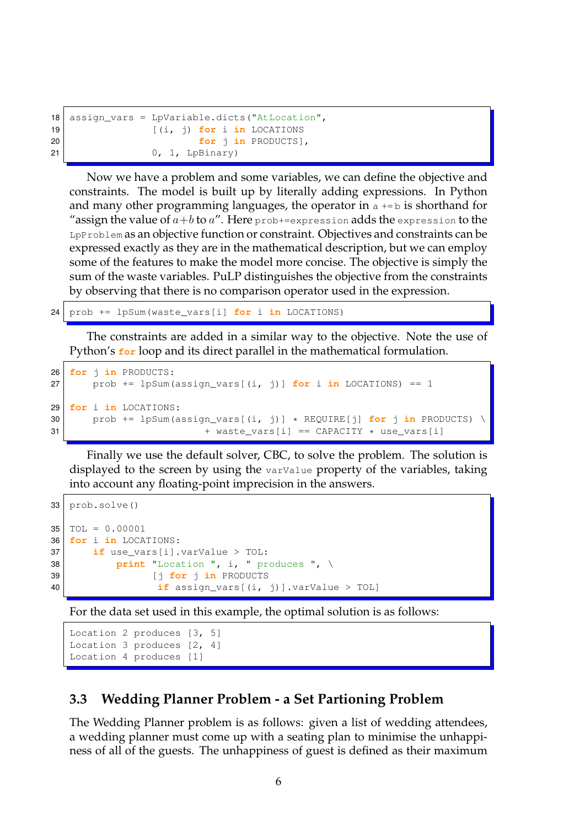```
18 assign_vars = LpVariable.dicts("AtLocation",
19 [(i, j) for i in LOCATIONS
20 for j in PRODUCTS],
21 0, 1, LpBinary)
```
Now we have a problem and some variables, we can define the objective and constraints. The model is built up by literally adding expressions. In Python and many other programming languages, the operator in  $a + b$  is shorthand for "assign the value of  $a\!+\!b$  to  $a$ ". Here prob+=expression adds the expression to the LpProblem as an objective function or constraint. Objectives and constraints can be expressed exactly as they are in the mathematical description, but we can employ some of the features to make the model more concise. The objective is simply the sum of the waste variables. PuLP distinguishes the objective from the constraints by observing that there is no comparison operator used in the expression.

24 prob += lpSum(waste\_vars[i] **for** i **in** LOCATIONS)

The constraints are added in a similar way to the objective. Note the use of Python's **for** loop and its direct parallel in the mathematical formulation.

```
26 for j in PRODUCTS:
27 prob += lpSum(assign_vars[(i, j)] for i in LOCATIONS) == 1
29 for i in LOCATIONS:
30 prob += lpSum(assign_vars[(i, j)] * REQUIRE[j] for j in PRODUCTS) \
31 + waste_vars[i] == CAPACITY \star use_vars[i]
```
Finally we use the default solver, CBC, to solve the problem. The solution is displayed to the screen by using the varValue property of the variables, taking into account any floating-point imprecision in the answers.

```
33 prob.solve()
35 | TOL = 0.0000136 for i in LOCATIONS:
37 if use_vars[i].varValue > TOL:
38 print "Location ", i, " produces ", \
39 [j for j in PRODUCTS
40 if assign_vars[(i, j)].varValue > TOL]
```
For the data set used in this example, the optimal solution is as follows:

```
Location 2 produces [3, 5]
Location 3 produces [2, 4]
Location 4 produces [1]
```
#### **3.3 Wedding Planner Problem - a Set Partioning Problem**

The Wedding Planner problem is as follows: given a list of wedding attendees, a wedding planner must come up with a seating plan to minimise the unhappiness of all of the guests. The unhappiness of guest is defined as their maximum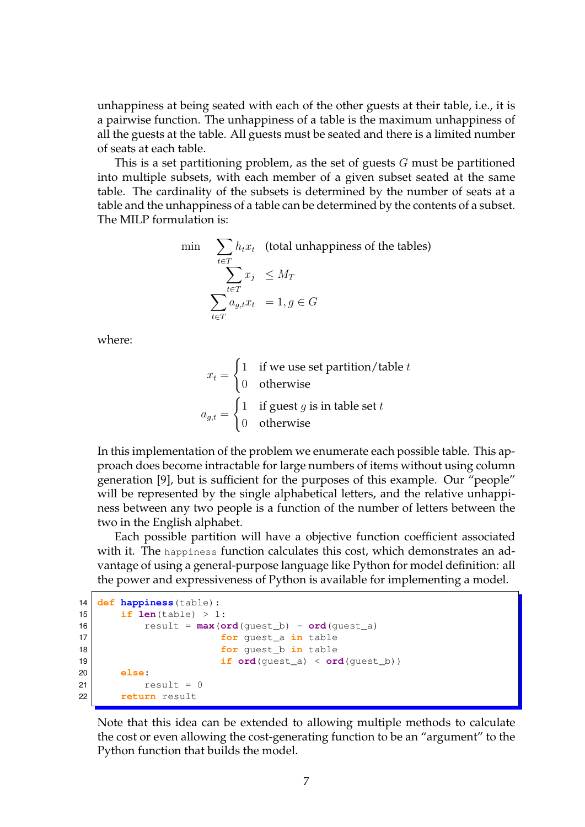unhappiness at being seated with each of the other guests at their table, i.e., it is a pairwise function. The unhappiness of a table is the maximum unhappiness of all the guests at the table. All guests must be seated and there is a limited number of seats at each table.

This is a set partitioning problem, as the set of guests  $G$  must be partitioned into multiple subsets, with each member of a given subset seated at the same table. The cardinality of the subsets is determined by the number of seats at a table and the unhappiness of a table can be determined by the contents of a subset. The MILP formulation is:

$$
\begin{aligned}\n\min \quad & \sum_{t \in T} h_t x_t \quad \text{(total unhappings of the tables)} \\
& \sum_{t \in T} x_j \le M_T \\
& \sum_{t \in T} a_{g,t} x_t \quad = 1, g \in G\n\end{aligned}
$$

where:

$$
x_t = \begin{cases} 1 & \text{if we use set partition/table } t \\ 0 & \text{otherwise} \end{cases}
$$

$$
a_{g,t} = \begin{cases} 1 & \text{if guest } g \text{ is in table set } t \\ 0 & \text{otherwise} \end{cases}
$$

In this implementation of the problem we enumerate each possible table. This approach does become intractable for large numbers of items without using column generation [9], but is sufficient for the purposes of this example. Our "people" will be represented by the single alphabetical letters, and the relative unhappiness between any two people is a function of the number of letters between the two in the English alphabet.

Each possible partition will have a objective function coefficient associated with it. The happiness function calculates this cost, which demonstrates an advantage of using a general-purpose language like Python for model definition: all the power and expressiveness of Python is available for implementing a model.

```
14 def happiness(table):
15 \vert if len(table) > 1:
16 \vert result = \text{max}(\text{ord}(\text{quest}_b) - \text{ord}(\text{quest}_a))17 for guest_a in table
18 for guest_b in table
19 if ord(guest_a) < ord(guest_b))
20 else:
21 result = 0
22 return result
```
Note that this idea can be extended to allowing multiple methods to calculate the cost or even allowing the cost-generating function to be an "argument" to the Python function that builds the model.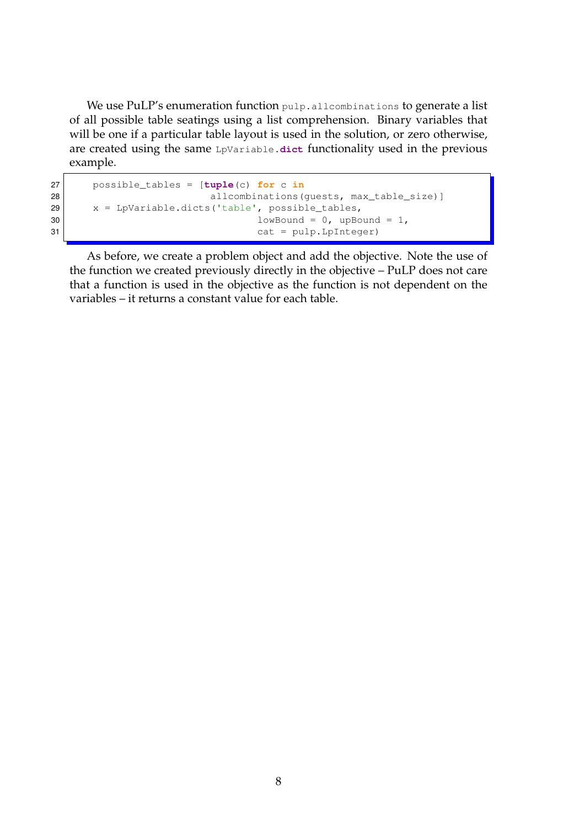We use PuLP's enumeration function pulp.allcombinations to generate a list of all possible table seatings using a list comprehension. Binary variables that will be one if a particular table layout is used in the solution, or zero otherwise, are created using the same LpVariable.**dict** functionality used in the previous example.

```
27 possible_tables = [tuple(c) for c in
28 allcombinations (guests, max_table_size) ]
29 x = \text{LpVariable.dicts('table', possible_table)}30 lowBound = 0, upBound = 1,
31 cat = pulp.LpInteger)
```
As before, we create a problem object and add the objective. Note the use of the function we created previously directly in the objective – PuLP does not care that a function is used in the objective as the function is not dependent on the variables – it returns a constant value for each table.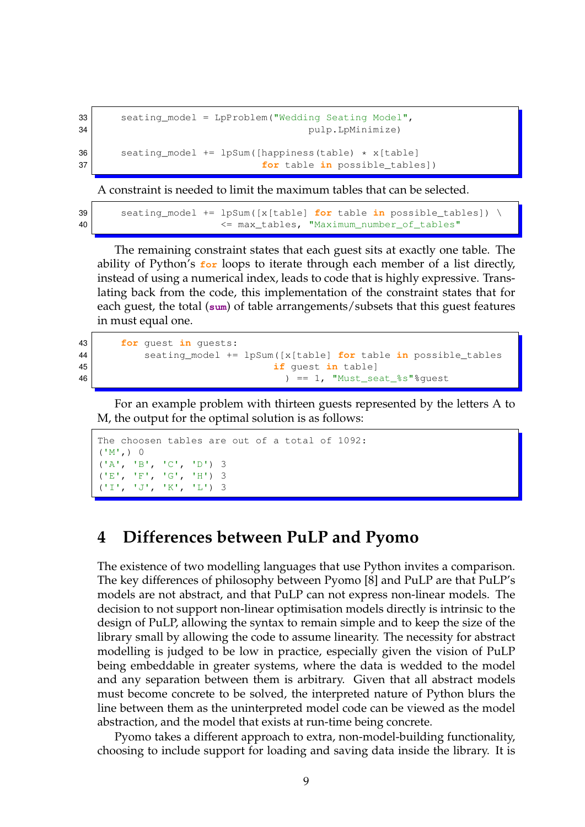```
33 seating_model = LpProblem ("Wedding Seating Model",
34 pulp.LpMinimize)
36 seating_model += lpSum([happiness(table) * x[table])37 for table in possible_tables])
```
A constraint is needed to limit the maximum tables that can be selected.

39 seating\_model += lpSum([x[table] **for** table **in** possible\_tables]) \ 40 <= max\_tables, "Maximum\_number\_of\_tables"

The remaining constraint states that each guest sits at exactly one table. The ability of Python's **for** loops to iterate through each member of a list directly, instead of using a numerical index, leads to code that is highly expressive. Translating back from the code, this implementation of the constraint states that for each guest, the total (**sum**) of table arrangements/subsets that this guest features

in must equal one.

```
43 for guest in guests:
44 seating_model += lpSum([x[table] for table in possible_tables
45 if guest in table]
46 ) == 1, "Must_seat_%s"%guest
```
For an example problem with thirteen guests represented by the letters A to M, the output for the optimal solution is as follows:

```
The choosen tables are out of a total of 1092:
(N', 0)('A', 'B', 'C', 'D') 3
('E', 'F', 'G', 'H') 3
('I', 'J', 'K', 'L') 3
```
### **4 Differences between PuLP and Pyomo**

The existence of two modelling languages that use Python invites a comparison. The key differences of philosophy between Pyomo [8] and PuLP are that PuLP's models are not abstract, and that PuLP can not express non-linear models. The decision to not support non-linear optimisation models directly is intrinsic to the design of PuLP, allowing the syntax to remain simple and to keep the size of the library small by allowing the code to assume linearity. The necessity for abstract modelling is judged to be low in practice, especially given the vision of PuLP being embeddable in greater systems, where the data is wedded to the model and any separation between them is arbitrary. Given that all abstract models must become concrete to be solved, the interpreted nature of Python blurs the line between them as the uninterpreted model code can be viewed as the model abstraction, and the model that exists at run-time being concrete.

Pyomo takes a different approach to extra, non-model-building functionality, choosing to include support for loading and saving data inside the library. It is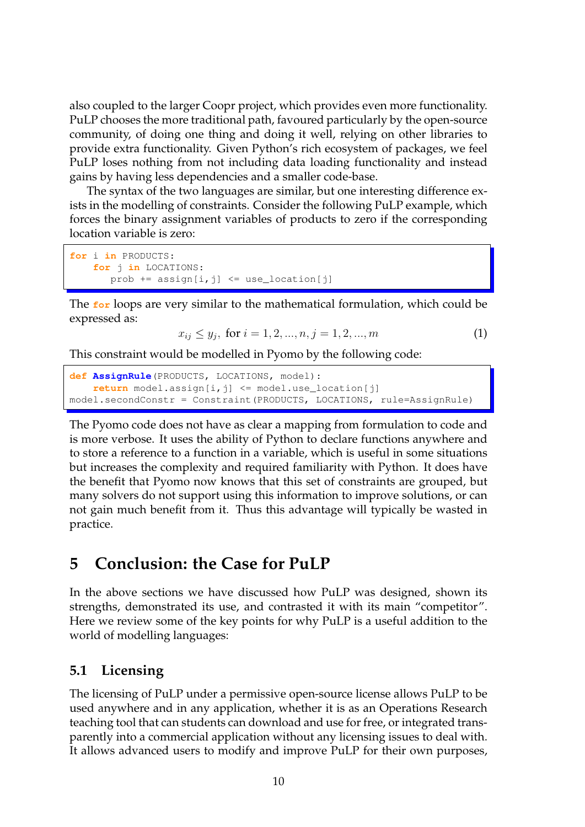also coupled to the larger Coopr project, which provides even more functionality. PuLP chooses the more traditional path, favoured particularly by the open-source community, of doing one thing and doing it well, relying on other libraries to provide extra functionality. Given Python's rich ecosystem of packages, we feel PuLP loses nothing from not including data loading functionality and instead gains by having less dependencies and a smaller code-base.

The syntax of the two languages are similar, but one interesting difference exists in the modelling of constraints. Consider the following PuLP example, which forces the binary assignment variables of products to zero if the corresponding location variable is zero:

```
for i in PRODUCTS:
    for j in LOCATIONS:
      prob += assign[i, j] <= use\_location[j]
```
The **for** loops are very similar to the mathematical formulation, which could be expressed as:

$$
x_{ij} \le y_j, \text{ for } i = 1, 2, ..., n, j = 1, 2, ..., m
$$
 (1)

This constraint would be modelled in Pyomo by the following code:

```
def AssignRule(PRODUCTS, LOCATIONS, model):
   return model.assign[i,j] <= model.use_location[j]
model.secondConstr = Constraint(PRODUCTS, LOCATIONS, rule=AssignRule)
```
The Pyomo code does not have as clear a mapping from formulation to code and is more verbose. It uses the ability of Python to declare functions anywhere and to store a reference to a function in a variable, which is useful in some situations but increases the complexity and required familiarity with Python. It does have the benefit that Pyomo now knows that this set of constraints are grouped, but many solvers do not support using this information to improve solutions, or can not gain much benefit from it. Thus this advantage will typically be wasted in practice.

## **5 Conclusion: the Case for PuLP**

In the above sections we have discussed how PuLP was designed, shown its strengths, demonstrated its use, and contrasted it with its main "competitor". Here we review some of the key points for why PuLP is a useful addition to the world of modelling languages:

#### **5.1 Licensing**

The licensing of PuLP under a permissive open-source license allows PuLP to be used anywhere and in any application, whether it is as an Operations Research teaching tool that can students can download and use for free, or integrated transparently into a commercial application without any licensing issues to deal with. It allows advanced users to modify and improve PuLP for their own purposes,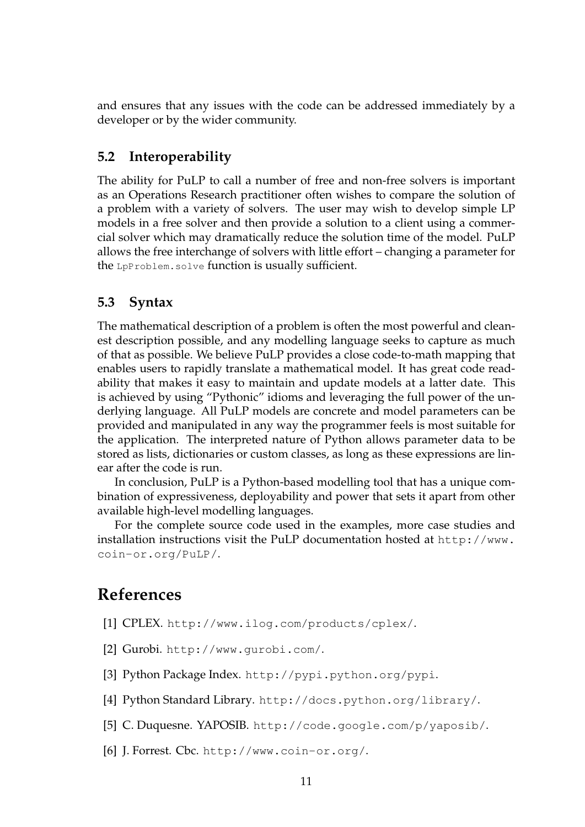and ensures that any issues with the code can be addressed immediately by a developer or by the wider community.

#### **5.2 Interoperability**

The ability for PuLP to call a number of free and non-free solvers is important as an Operations Research practitioner often wishes to compare the solution of a problem with a variety of solvers. The user may wish to develop simple LP models in a free solver and then provide a solution to a client using a commercial solver which may dramatically reduce the solution time of the model. PuLP allows the free interchange of solvers with little effort – changing a parameter for the LpProblem.solve function is usually sufficient.

#### **5.3 Syntax**

The mathematical description of a problem is often the most powerful and cleanest description possible, and any modelling language seeks to capture as much of that as possible. We believe PuLP provides a close code-to-math mapping that enables users to rapidly translate a mathematical model. It has great code readability that makes it easy to maintain and update models at a latter date. This is achieved by using "Pythonic" idioms and leveraging the full power of the underlying language. All PuLP models are concrete and model parameters can be provided and manipulated in any way the programmer feels is most suitable for the application. The interpreted nature of Python allows parameter data to be stored as lists, dictionaries or custom classes, as long as these expressions are linear after the code is run.

In conclusion, PuLP is a Python-based modelling tool that has a unique combination of expressiveness, deployability and power that sets it apart from other available high-level modelling languages.

For the complete source code used in the examples, more case studies and installation instructions visit the PuLP documentation hosted at http://www. coin-or.org/PuLP/.

#### **References**

- [1] CPLEX. http://www.ilog.com/products/cplex/.
- [2] Gurobi. http://www.gurobi.com/.
- [3] Python Package Index. http://pypi.python.org/pypi.
- [4] Python Standard Library. http://docs.python.org/library/.
- [5] C. Duquesne. YAPOSIB. http://code.google.com/p/yaposib/.
- [6] J. Forrest. Cbc. http://www.coin-or.org/.